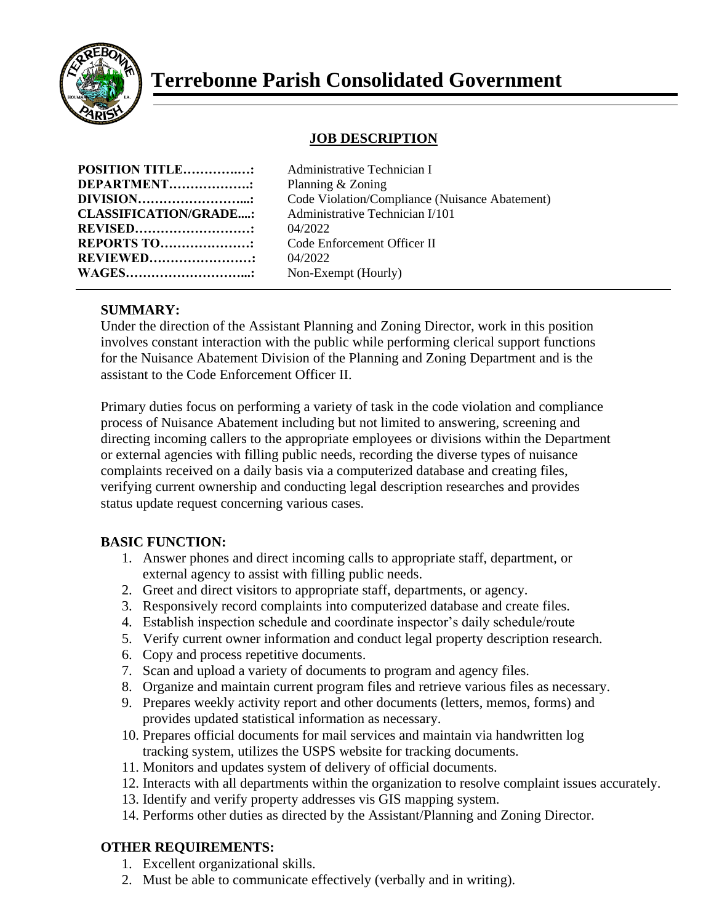

# **Terrebonne Parish Consolidated Government**

## **JOB DESCRIPTION**

| <b>POSITION TITLE:</b>       |  |
|------------------------------|--|
| DEPARTMENT:                  |  |
| <b>DIVISION</b>              |  |
| <b>CLASSIFICATION/GRADE:</b> |  |
| <b>REVISED</b>               |  |
| <b>REPORTS TO:</b>           |  |
| <b>REVIEWED</b>              |  |
| <b>WAGES</b>                 |  |

**Administrative Technician I Planning & Zoning** Code Violation/Compliance (Nuisance Abatement) **CLASSIFICATION/GRADE....:** Administrative Technician I/101 **REVISED………………………:** 04/2022 **Code Enforcement Officer II REVIEWED……………………:** 04/2022 Non-Exempt (Hourly)

### **SUMMARY:**

Under the direction of the Assistant Planning and Zoning Director, work in this position involves constant interaction with the public while performing clerical support functions for the Nuisance Abatement Division of the Planning and Zoning Department and is the assistant to the Code Enforcement Officer II.

Primary duties focus on performing a variety of task in the code violation and compliance process of Nuisance Abatement including but not limited to answering, screening and directing incoming callers to the appropriate employees or divisions within the Department or external agencies with filling public needs, recording the diverse types of nuisance complaints received on a daily basis via a computerized database and creating files, verifying current ownership and conducting legal description researches and provides status update request concerning various cases.

### **BASIC FUNCTION:**

- 1. Answer phones and direct incoming calls to appropriate staff, department, or external agency to assist with filling public needs.
- 2. Greet and direct visitors to appropriate staff, departments, or agency.
- 3. Responsively record complaints into computerized database and create files.
- 4. Establish inspection schedule and coordinate inspector's daily schedule/route
- 5. Verify current owner information and conduct legal property description research.
- 6. Copy and process repetitive documents.
- 7. Scan and upload a variety of documents to program and agency files.
- 8. Organize and maintain current program files and retrieve various files as necessary.
- 9. Prepares weekly activity report and other documents (letters, memos, forms) and provides updated statistical information as necessary.
- 10. Prepares official documents for mail services and maintain via handwritten log tracking system, utilizes the USPS website for tracking documents.
- 11. Monitors and updates system of delivery of official documents.
- 12. Interacts with all departments within the organization to resolve complaint issues accurately.
- 13. Identify and verify property addresses vis GIS mapping system.
- 14. Performs other duties as directed by the Assistant/Planning and Zoning Director.

### **OTHER REQUIREMENTS:**

- 1. Excellent organizational skills.
- 2. Must be able to communicate effectively (verbally and in writing).